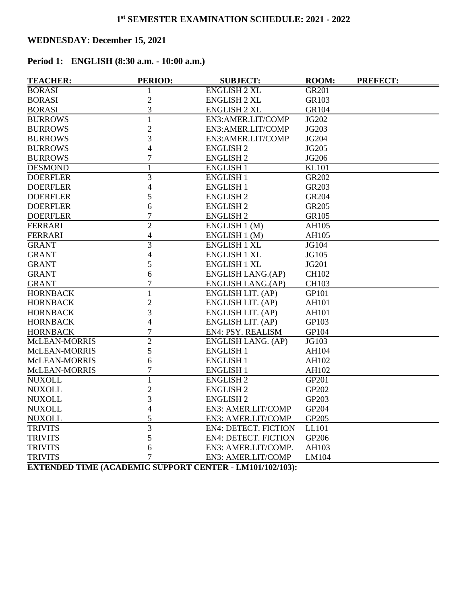# **WEDNESDAY: December 15, 2021**

# **Period 1: ENGLISH (8:30 a.m. - 10:00 a.m.)**

| <b>TEACHER:</b> | <b>PERIOD:</b> | <b>SUBJECT:</b>                                                | ROOM:        | <b>PREFECT:</b> |
|-----------------|----------------|----------------------------------------------------------------|--------------|-----------------|
| <b>BORASI</b>   |                | <b>ENGLISH 2 XL</b>                                            | <b>GR201</b> |                 |
| <b>BORASI</b>   | $\overline{c}$ | <b>ENGLISH 2 XL</b>                                            | GR103        |                 |
| <b>BORASI</b>   | 3              | <b>ENGLISH 2 XL</b>                                            | GR104        |                 |
| <b>BURROWS</b>  | $\mathbf{1}$   | EN3:AMER.LIT/COMP                                              | JG202        |                 |
| <b>BURROWS</b>  | $\overline{2}$ | EN3:AMER.LIT/COMP                                              | JG203        |                 |
| <b>BURROWS</b>  | 3              | EN3:AMER.LIT/COMP                                              | JG204        |                 |
| <b>BURROWS</b>  | $\overline{4}$ | <b>ENGLISH 2</b>                                               | JG205        |                 |
| <b>BURROWS</b>  | $\overline{7}$ | <b>ENGLISH 2</b>                                               | JG206        |                 |
| <b>DESMOND</b>  | 1              | <b>ENGLISH 1</b>                                               | <b>KL101</b> |                 |
| <b>DOERFLER</b> | 3              | <b>ENGLISH 1</b>                                               | GR202        |                 |
| <b>DOERFLER</b> | 4              | <b>ENGLISH 1</b>                                               | GR203        |                 |
| <b>DOERFLER</b> | 5              | <b>ENGLISH 2</b>                                               | GR204        |                 |
| <b>DOERFLER</b> | 6              | <b>ENGLISH 2</b>                                               | GR205        |                 |
| <b>DOERFLER</b> | $\overline{7}$ | <b>ENGLISH 2</b>                                               | GR105        |                 |
| <b>FERRARI</b>  | $\overline{2}$ | ENGLISH 1 (M)                                                  | AH105        |                 |
| <b>FERRARI</b>  | 4              | ENGLISH 1 (M)                                                  | AH105        |                 |
| <b>GRANT</b>    | $\overline{3}$ | <b>ENGLISH 1 XL</b>                                            | <b>JG104</b> |                 |
| <b>GRANT</b>    | 4              | <b>ENGLISH 1 XL</b>                                            | JG105        |                 |
| <b>GRANT</b>    | 5              | <b>ENGLISH 1 XL</b>                                            | JG201        |                 |
| <b>GRANT</b>    | 6              | ENGLISH LANG.(AP)                                              | <b>CH102</b> |                 |
| <b>GRANT</b>    | 7              | ENGLISH LANG.(AP)                                              | <b>CH103</b> |                 |
| <b>HORNBACK</b> | $\mathbf{1}$   | ENGLISH LIT. (AP)                                              | GP101        |                 |
| <b>HORNBACK</b> | $\overline{c}$ | ENGLISH LIT. (AP)                                              | AH101        |                 |
| <b>HORNBACK</b> | 3              | ENGLISH LIT. (AP)                                              | AH101        |                 |
| <b>HORNBACK</b> | 4              | ENGLISH LIT. (AP)                                              | GP103        |                 |
| <b>HORNBACK</b> | $\overline{7}$ | EN4: PSY. REALISM                                              | GP104        |                 |
| McLEAN-MORRIS   | $\overline{2}$ | ENGLISH LANG. (AP)                                             | JG103        |                 |
| McLEAN-MORRIS   | 5              | <b>ENGLISH 1</b>                                               | AH104        |                 |
| McLEAN-MORRIS   | 6              | <b>ENGLISH 1</b>                                               | AH102        |                 |
| McLEAN-MORRIS   | $\overline{7}$ | <b>ENGLISH 1</b>                                               | AH102        |                 |
| <b>NUXOLL</b>   | $\mathbf{1}$   | <b>ENGLISH 2</b>                                               | GP201        |                 |
| <b>NUXOLL</b>   | $\overline{c}$ | <b>ENGLISH 2</b>                                               | GP202        |                 |
| <b>NUXOLL</b>   | 3              | <b>ENGLISH 2</b>                                               | GP203        |                 |
| <b>NUXOLL</b>   | 4              | EN3: AMER.LIT/COMP                                             | GP204        |                 |
| <b>NUXOLL</b>   | 5              | EN3: AMER.LIT/COMP                                             | GP205        |                 |
| <b>TRIVITS</b>  | 3              | <b>EN4: DETECT. FICTION</b>                                    | LL101        |                 |
| <b>TRIVITS</b>  | 5              | <b>EN4: DETECT. FICTION</b>                                    | GP206        |                 |
| <b>TRIVITS</b>  | 6              | EN3: AMER.LIT/COMP.                                            | AH103        |                 |
| <b>TRIVITS</b>  | $\overline{7}$ | EN3: AMER.LIT/COMP                                             | LM104        |                 |
|                 |                | <b>EXTENDED TIME (ACADEMIC SUPPODT CENTER 1 M101/102/103).</b> |              |                 |

**EXTENDED TIME (ACADEMIC SUPPORT CENTER - LM101/102/103):**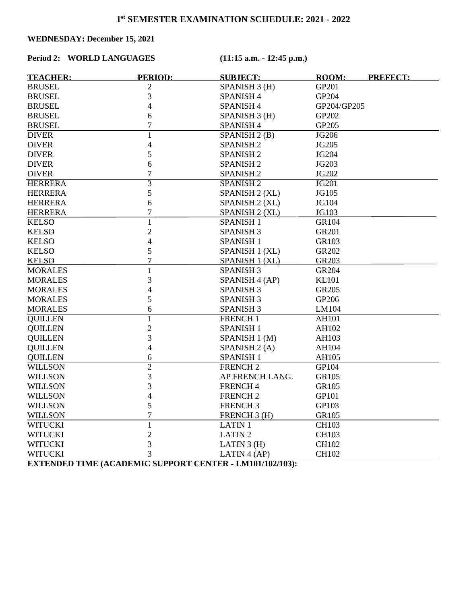# **WEDNESDAY: December 15, 2021**

## **Period 2: WORLD LANGUAGES (11:15 a.m. - 12:45 p.m.)**

| <b>TEACHER:</b> | <b>PERIOD:</b> | <b>SUBJECT:</b>          | ROOM:              | <b>PREFECT:</b> |
|-----------------|----------------|--------------------------|--------------------|-----------------|
| <b>BRUSEL</b>   | 2              | SPANISH 3 (H)            | GP201              |                 |
| <b>BRUSEL</b>   | 3              | <b>SPANISH 4</b>         | GP204              |                 |
| <b>BRUSEL</b>   | 4              | SPANISH <sub>4</sub>     | GP204/GP205        |                 |
| <b>BRUSEL</b>   | 6              | SPANISH 3 (H)            | GP202              |                 |
| <b>BRUSEL</b>   | $\overline{7}$ | <b>SPANISH 4</b>         | GP205              |                 |
| <b>DIVER</b>    | $\mathbf{1}$   | SPANISH 2 (B)            | JG206              |                 |
| <b>DIVER</b>    | 4              | <b>SPANISH 2</b>         | JG205              |                 |
| <b>DIVER</b>    | 5              | <b>SPANISH 2</b>         | <b>JG204</b>       |                 |
| <b>DIVER</b>    | 6              | <b>SPANISH 2</b>         | JG203              |                 |
| <b>DIVER</b>    | $\overline{7}$ | <b>SPANISH 2</b>         | JG202              |                 |
| <b>HERRERA</b>  | $\overline{3}$ | <b>SPANISH 2</b>         | <b>JG201</b>       |                 |
| <b>HERRERA</b>  | 5              | SPANISH 2 (XL)           | JG105              |                 |
| <b>HERRERA</b>  | 6              | SPANISH 2 (XL)           | JG104              |                 |
| <b>HERRERA</b>  | $\overline{7}$ | SPANISH 2 (XL)           | JG103              |                 |
| <b>KELSO</b>    | $\mathbf{1}$   | <b>SPANISH 1</b>         | GR104              |                 |
| <b>KELSO</b>    | $\overline{c}$ | <b>SPANISH 3</b>         | <b>GR201</b>       |                 |
| <b>KELSO</b>    | 4              | <b>SPANISH 1</b>         | GR103              |                 |
| <b>KELSO</b>    | 5              | SPANISH 1 (XL)           | GR202              |                 |
| <b>KELSO</b>    | 7              | SPANISH 1 (XL)           | GR203              |                 |
| <b>MORALES</b>  | $\mathbf{1}$   | <b>SPANISH 3</b>         | GR204              |                 |
| <b>MORALES</b>  | 3              | SPANISH 4 (AP)           | <b>KL101</b>       |                 |
| <b>MORALES</b>  | 4              | <b>SPANISH 3</b>         | GR205              |                 |
| <b>MORALES</b>  | 5              | <b>SPANISH 3</b>         | GP206              |                 |
| <b>MORALES</b>  | 6              | <b>SPANISH 3</b>         | LM104              |                 |
| <b>QUILLEN</b>  | $\mathbf{1}$   | FRENCH <sub>1</sub>      | $\overline{AH101}$ |                 |
| <b>QUILLEN</b>  | $\overline{c}$ | <b>SPANISH 1</b>         | AH102              |                 |
| <b>QUILLEN</b>  | 3              | SPANISH 1 (M)            | AH103              |                 |
| <b>QUILLEN</b>  | 4              | SPANISH <sub>2</sub> (A) | AH104              |                 |
| <b>QUILLEN</b>  | 6              | <b>SPANISH 1</b>         | AH105              |                 |
| <b>WILLSON</b>  | $\overline{2}$ | <b>FRENCH2</b>           | GP104              |                 |
| <b>WILLSON</b>  | 3              | AP FRENCH LANG.          | GR105              |                 |
| <b>WILLSON</b>  | 3              | <b>FRENCH4</b>           | GR105              |                 |
| <b>WILLSON</b>  | 4              | <b>FRENCH2</b>           | GP101              |                 |
| <b>WILLSON</b>  | 5              | <b>FRENCH3</b>           | GP103              |                 |
| <b>WILLSON</b>  | $\overline{7}$ | FRENCH 3 (H)             | GR105              |                 |
| <b>WITUCKI</b>  | $\mathbf{1}$   | <b>LATIN1</b>            | <b>CH103</b>       |                 |
| <b>WITUCKI</b>  | $\overline{c}$ | <b>LATIN2</b>            | <b>CH103</b>       |                 |
| <b>WITUCKI</b>  | 3              | LATIN $3(H)$             | <b>CH102</b>       |                 |
| <b>WITUCKI</b>  | 3              | LATIN $4$ (AP)           | <b>CH102</b>       |                 |

**EXTENDED TIME (ACADEMIC SUPPORT CENTER - LM101/102/103):**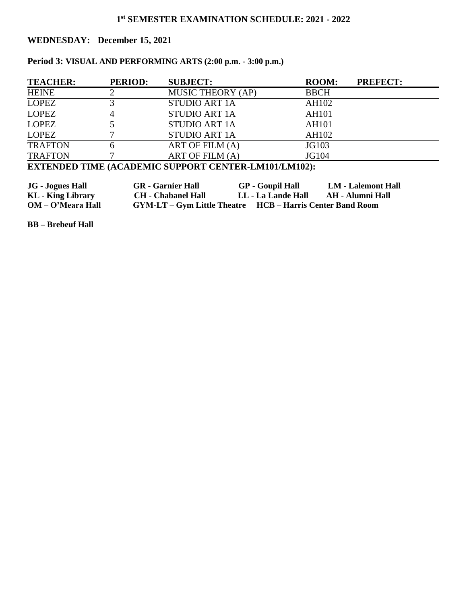# **WEDNESDAY: December 15, 2021**

# **Period 3: VISUAL AND PERFORMING ARTS (2:00 p.m. - 3:00 p.m.)**

| <b>TEACHER:</b> | <b>PERIOD:</b> | <b>SUBJECT:</b>          | <b>ROOM:</b> | <b>PREFECT:</b> |
|-----------------|----------------|--------------------------|--------------|-----------------|
| <b>HEINE</b>    |                | <b>MUSIC THEORY (AP)</b> | <b>BBCH</b>  |                 |
| <b>LOPEZ</b>    |                | <b>STUDIO ART 1A</b>     | AH102        |                 |
| <b>LOPEZ</b>    |                | <b>STUDIO ART 1A</b>     | <b>AH101</b> |                 |
| <b>LOPEZ</b>    |                | <b>STUDIO ART 1A</b>     | <b>AH101</b> |                 |
| <b>LOPEZ</b>    |                | <b>STUDIO ART 1A</b>     | AH102        |                 |
| <b>TRAFTON</b>  |                | ART OF FILM (A)          | JG103        |                 |
| <b>TRAFTON</b>  |                | ART OF FILM (A)          | JG104        |                 |

# **EXTENDED TIME (ACADEMIC SUPPORT CENTER-LM101/LM102):**

| <b>JG</b> - Jogues Hall         | <b>GR</b> - Garnier Hall                                         | <b>GP</b> - Goupil Hall | <b>LM - Lalemont Hall</b> |
|---------------------------------|------------------------------------------------------------------|-------------------------|---------------------------|
| <b>KL</b> - <b>King Library</b> | <b>CH</b> - Chabanel Hall                                        | LL - La Lande Hall      | AH - Alumni Hall          |
| OM – O'Meara Hall               | <b>GYM-LT – Gym Little Theatre HCB – Harris Center Band Room</b> |                         |                           |

**BB – Brebeuf Hall**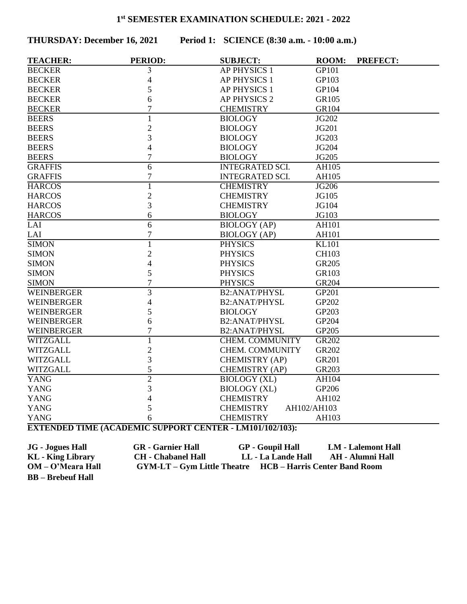**THURSDAY: December 16, 2021 Period 1: SCIENCE (8:30 a.m. - 10:00 a.m.)**

| <b>AP PHYSICS 1</b><br>GP101<br>3<br>4<br><b>AP PHYSICS 1</b><br>GP103<br>5<br><b>AP PHYSICS 1</b><br>GP104<br>6<br><b>AP PHYSICS 2</b><br><b>GR105</b><br>$\overline{7}$<br><b>BECKER</b><br><b>CHEMISTRY</b><br>GR104<br>$\mathbf{1}$<br>JG202<br><b>BIOLOGY</b><br>$\overline{2}$<br>JG201<br><b>BIOLOGY</b><br>3<br>JG203<br><b>BIOLOGY</b><br>$\overline{4}$<br><b>BIOLOGY</b><br>JG204<br>$\overline{7}$<br><b>BIOLOGY</b><br>JG205<br>$\overline{6}$<br><b>INTEGRATED SCI.</b><br><b>AH105</b><br>$\boldsymbol{7}$<br><b>INTEGRATED SCI.</b><br>AH105<br>$\overline{1}$<br><b>CHEMISTRY</b><br><b>JG206</b><br>$\mathbf{2}$<br><b>CHEMISTRY</b><br>JG105<br>3<br><b>CHEMISTRY</b><br>JG104<br>6<br><b>HARCOS</b><br><b>BIOLOGY</b><br>JG103<br>6<br><b>BIOLOGY</b> (AP)<br>AH101<br>$\overline{7}$<br><b>BIOLOGY</b> (AP)<br>AH101<br><b>SIMON</b><br>$\mathbf{1}$<br><b>KL101</b><br><b>PHYSICS</b><br>$\overline{2}$<br><b>SIMON</b><br><b>PHYSICS</b><br><b>CH103</b><br>$\overline{4}$<br><b>PHYSICS</b><br><b>GR205</b><br><b>SIMON</b><br>5<br>GR103<br><b>SIMON</b><br><b>PHYSICS</b><br>$\overline{7}$<br><b>SIMON</b><br><b>PHYSICS</b><br>GR204<br>$\overline{3}$<br><b>B2:ANAT/PHYSL</b><br>GP201<br><b>WEINBERGER</b><br><b>WEINBERGER</b><br>$\overline{4}$<br><b>B2:ANAT/PHYSL</b><br>GP202<br><b>WEINBERGER</b><br>5<br><b>BIOLOGY</b><br>GP203<br><b>WEINBERGER</b><br><b>B2:ANAT/PHYSL</b><br>GP204<br>6<br><b>WEINBERGER</b><br>7<br><b>B2:ANAT/PHYSL</b><br>GP205<br>WITZGALL<br>$\mathbf{1}$<br><b>CHEM. COMMUNITY</b><br>GR202<br>$\overline{2}$<br><b>WITZGALL</b><br><b>CHEM. COMMUNITY</b><br>GR202<br>3<br><b>WITZGALL</b><br>CHEMISTRY (AP)<br><b>GR201</b><br>5<br><b>WITZGALL</b><br>CHEMISTRY (AP)<br>GR203<br>$\overline{2}$<br><b>YANG</b><br><b>BIOLOGY</b> (XL)<br>AH104 | <b>TEACHER:</b> | <b>PERIOD:</b> | <b>SUBJECT:</b> | <b>ROOM:</b> | <b>PREFECT:</b> |
|------------------------------------------------------------------------------------------------------------------------------------------------------------------------------------------------------------------------------------------------------------------------------------------------------------------------------------------------------------------------------------------------------------------------------------------------------------------------------------------------------------------------------------------------------------------------------------------------------------------------------------------------------------------------------------------------------------------------------------------------------------------------------------------------------------------------------------------------------------------------------------------------------------------------------------------------------------------------------------------------------------------------------------------------------------------------------------------------------------------------------------------------------------------------------------------------------------------------------------------------------------------------------------------------------------------------------------------------------------------------------------------------------------------------------------------------------------------------------------------------------------------------------------------------------------------------------------------------------------------------------------------------------------------------------------------------------------------------------------------------------------------------------------------------------------------|-----------------|----------------|-----------------|--------------|-----------------|
|                                                                                                                                                                                                                                                                                                                                                                                                                                                                                                                                                                                                                                                                                                                                                                                                                                                                                                                                                                                                                                                                                                                                                                                                                                                                                                                                                                                                                                                                                                                                                                                                                                                                                                                                                                                                                  | <b>BECKER</b>   |                |                 |              |                 |
|                                                                                                                                                                                                                                                                                                                                                                                                                                                                                                                                                                                                                                                                                                                                                                                                                                                                                                                                                                                                                                                                                                                                                                                                                                                                                                                                                                                                                                                                                                                                                                                                                                                                                                                                                                                                                  | <b>BECKER</b>   |                |                 |              |                 |
|                                                                                                                                                                                                                                                                                                                                                                                                                                                                                                                                                                                                                                                                                                                                                                                                                                                                                                                                                                                                                                                                                                                                                                                                                                                                                                                                                                                                                                                                                                                                                                                                                                                                                                                                                                                                                  | <b>BECKER</b>   |                |                 |              |                 |
|                                                                                                                                                                                                                                                                                                                                                                                                                                                                                                                                                                                                                                                                                                                                                                                                                                                                                                                                                                                                                                                                                                                                                                                                                                                                                                                                                                                                                                                                                                                                                                                                                                                                                                                                                                                                                  | <b>BECKER</b>   |                |                 |              |                 |
|                                                                                                                                                                                                                                                                                                                                                                                                                                                                                                                                                                                                                                                                                                                                                                                                                                                                                                                                                                                                                                                                                                                                                                                                                                                                                                                                                                                                                                                                                                                                                                                                                                                                                                                                                                                                                  |                 |                |                 |              |                 |
|                                                                                                                                                                                                                                                                                                                                                                                                                                                                                                                                                                                                                                                                                                                                                                                                                                                                                                                                                                                                                                                                                                                                                                                                                                                                                                                                                                                                                                                                                                                                                                                                                                                                                                                                                                                                                  | <b>BEERS</b>    |                |                 |              |                 |
|                                                                                                                                                                                                                                                                                                                                                                                                                                                                                                                                                                                                                                                                                                                                                                                                                                                                                                                                                                                                                                                                                                                                                                                                                                                                                                                                                                                                                                                                                                                                                                                                                                                                                                                                                                                                                  | <b>BEERS</b>    |                |                 |              |                 |
|                                                                                                                                                                                                                                                                                                                                                                                                                                                                                                                                                                                                                                                                                                                                                                                                                                                                                                                                                                                                                                                                                                                                                                                                                                                                                                                                                                                                                                                                                                                                                                                                                                                                                                                                                                                                                  | <b>BEERS</b>    |                |                 |              |                 |
|                                                                                                                                                                                                                                                                                                                                                                                                                                                                                                                                                                                                                                                                                                                                                                                                                                                                                                                                                                                                                                                                                                                                                                                                                                                                                                                                                                                                                                                                                                                                                                                                                                                                                                                                                                                                                  | <b>BEERS</b>    |                |                 |              |                 |
|                                                                                                                                                                                                                                                                                                                                                                                                                                                                                                                                                                                                                                                                                                                                                                                                                                                                                                                                                                                                                                                                                                                                                                                                                                                                                                                                                                                                                                                                                                                                                                                                                                                                                                                                                                                                                  | <b>BEERS</b>    |                |                 |              |                 |
|                                                                                                                                                                                                                                                                                                                                                                                                                                                                                                                                                                                                                                                                                                                                                                                                                                                                                                                                                                                                                                                                                                                                                                                                                                                                                                                                                                                                                                                                                                                                                                                                                                                                                                                                                                                                                  | <b>GRAFFIS</b>  |                |                 |              |                 |
|                                                                                                                                                                                                                                                                                                                                                                                                                                                                                                                                                                                                                                                                                                                                                                                                                                                                                                                                                                                                                                                                                                                                                                                                                                                                                                                                                                                                                                                                                                                                                                                                                                                                                                                                                                                                                  | <b>GRAFFIS</b>  |                |                 |              |                 |
|                                                                                                                                                                                                                                                                                                                                                                                                                                                                                                                                                                                                                                                                                                                                                                                                                                                                                                                                                                                                                                                                                                                                                                                                                                                                                                                                                                                                                                                                                                                                                                                                                                                                                                                                                                                                                  | <b>HARCOS</b>   |                |                 |              |                 |
|                                                                                                                                                                                                                                                                                                                                                                                                                                                                                                                                                                                                                                                                                                                                                                                                                                                                                                                                                                                                                                                                                                                                                                                                                                                                                                                                                                                                                                                                                                                                                                                                                                                                                                                                                                                                                  | <b>HARCOS</b>   |                |                 |              |                 |
|                                                                                                                                                                                                                                                                                                                                                                                                                                                                                                                                                                                                                                                                                                                                                                                                                                                                                                                                                                                                                                                                                                                                                                                                                                                                                                                                                                                                                                                                                                                                                                                                                                                                                                                                                                                                                  | <b>HARCOS</b>   |                |                 |              |                 |
|                                                                                                                                                                                                                                                                                                                                                                                                                                                                                                                                                                                                                                                                                                                                                                                                                                                                                                                                                                                                                                                                                                                                                                                                                                                                                                                                                                                                                                                                                                                                                                                                                                                                                                                                                                                                                  |                 |                |                 |              |                 |
|                                                                                                                                                                                                                                                                                                                                                                                                                                                                                                                                                                                                                                                                                                                                                                                                                                                                                                                                                                                                                                                                                                                                                                                                                                                                                                                                                                                                                                                                                                                                                                                                                                                                                                                                                                                                                  | LAI             |                |                 |              |                 |
|                                                                                                                                                                                                                                                                                                                                                                                                                                                                                                                                                                                                                                                                                                                                                                                                                                                                                                                                                                                                                                                                                                                                                                                                                                                                                                                                                                                                                                                                                                                                                                                                                                                                                                                                                                                                                  | LAI             |                |                 |              |                 |
|                                                                                                                                                                                                                                                                                                                                                                                                                                                                                                                                                                                                                                                                                                                                                                                                                                                                                                                                                                                                                                                                                                                                                                                                                                                                                                                                                                                                                                                                                                                                                                                                                                                                                                                                                                                                                  |                 |                |                 |              |                 |
|                                                                                                                                                                                                                                                                                                                                                                                                                                                                                                                                                                                                                                                                                                                                                                                                                                                                                                                                                                                                                                                                                                                                                                                                                                                                                                                                                                                                                                                                                                                                                                                                                                                                                                                                                                                                                  |                 |                |                 |              |                 |
|                                                                                                                                                                                                                                                                                                                                                                                                                                                                                                                                                                                                                                                                                                                                                                                                                                                                                                                                                                                                                                                                                                                                                                                                                                                                                                                                                                                                                                                                                                                                                                                                                                                                                                                                                                                                                  |                 |                |                 |              |                 |
|                                                                                                                                                                                                                                                                                                                                                                                                                                                                                                                                                                                                                                                                                                                                                                                                                                                                                                                                                                                                                                                                                                                                                                                                                                                                                                                                                                                                                                                                                                                                                                                                                                                                                                                                                                                                                  |                 |                |                 |              |                 |
|                                                                                                                                                                                                                                                                                                                                                                                                                                                                                                                                                                                                                                                                                                                                                                                                                                                                                                                                                                                                                                                                                                                                                                                                                                                                                                                                                                                                                                                                                                                                                                                                                                                                                                                                                                                                                  |                 |                |                 |              |                 |
|                                                                                                                                                                                                                                                                                                                                                                                                                                                                                                                                                                                                                                                                                                                                                                                                                                                                                                                                                                                                                                                                                                                                                                                                                                                                                                                                                                                                                                                                                                                                                                                                                                                                                                                                                                                                                  |                 |                |                 |              |                 |
|                                                                                                                                                                                                                                                                                                                                                                                                                                                                                                                                                                                                                                                                                                                                                                                                                                                                                                                                                                                                                                                                                                                                                                                                                                                                                                                                                                                                                                                                                                                                                                                                                                                                                                                                                                                                                  |                 |                |                 |              |                 |
|                                                                                                                                                                                                                                                                                                                                                                                                                                                                                                                                                                                                                                                                                                                                                                                                                                                                                                                                                                                                                                                                                                                                                                                                                                                                                                                                                                                                                                                                                                                                                                                                                                                                                                                                                                                                                  |                 |                |                 |              |                 |
|                                                                                                                                                                                                                                                                                                                                                                                                                                                                                                                                                                                                                                                                                                                                                                                                                                                                                                                                                                                                                                                                                                                                                                                                                                                                                                                                                                                                                                                                                                                                                                                                                                                                                                                                                                                                                  |                 |                |                 |              |                 |
|                                                                                                                                                                                                                                                                                                                                                                                                                                                                                                                                                                                                                                                                                                                                                                                                                                                                                                                                                                                                                                                                                                                                                                                                                                                                                                                                                                                                                                                                                                                                                                                                                                                                                                                                                                                                                  |                 |                |                 |              |                 |
|                                                                                                                                                                                                                                                                                                                                                                                                                                                                                                                                                                                                                                                                                                                                                                                                                                                                                                                                                                                                                                                                                                                                                                                                                                                                                                                                                                                                                                                                                                                                                                                                                                                                                                                                                                                                                  |                 |                |                 |              |                 |
|                                                                                                                                                                                                                                                                                                                                                                                                                                                                                                                                                                                                                                                                                                                                                                                                                                                                                                                                                                                                                                                                                                                                                                                                                                                                                                                                                                                                                                                                                                                                                                                                                                                                                                                                                                                                                  |                 |                |                 |              |                 |
|                                                                                                                                                                                                                                                                                                                                                                                                                                                                                                                                                                                                                                                                                                                                                                                                                                                                                                                                                                                                                                                                                                                                                                                                                                                                                                                                                                                                                                                                                                                                                                                                                                                                                                                                                                                                                  |                 |                |                 |              |                 |
|                                                                                                                                                                                                                                                                                                                                                                                                                                                                                                                                                                                                                                                                                                                                                                                                                                                                                                                                                                                                                                                                                                                                                                                                                                                                                                                                                                                                                                                                                                                                                                                                                                                                                                                                                                                                                  |                 |                |                 |              |                 |
|                                                                                                                                                                                                                                                                                                                                                                                                                                                                                                                                                                                                                                                                                                                                                                                                                                                                                                                                                                                                                                                                                                                                                                                                                                                                                                                                                                                                                                                                                                                                                                                                                                                                                                                                                                                                                  |                 |                |                 |              |                 |
| 3<br><b>YANG</b><br><b>BIOLOGY (XL)</b><br>GP206                                                                                                                                                                                                                                                                                                                                                                                                                                                                                                                                                                                                                                                                                                                                                                                                                                                                                                                                                                                                                                                                                                                                                                                                                                                                                                                                                                                                                                                                                                                                                                                                                                                                                                                                                                 |                 |                |                 |              |                 |
| <b>YANG</b><br>$\overline{\mathcal{L}}$<br><b>CHEMISTRY</b><br>AH102                                                                                                                                                                                                                                                                                                                                                                                                                                                                                                                                                                                                                                                                                                                                                                                                                                                                                                                                                                                                                                                                                                                                                                                                                                                                                                                                                                                                                                                                                                                                                                                                                                                                                                                                             |                 |                |                 |              |                 |
| <b>YANG</b><br>5<br><b>CHEMISTRY</b><br>AH102/AH103                                                                                                                                                                                                                                                                                                                                                                                                                                                                                                                                                                                                                                                                                                                                                                                                                                                                                                                                                                                                                                                                                                                                                                                                                                                                                                                                                                                                                                                                                                                                                                                                                                                                                                                                                              |                 |                |                 |              |                 |
| <b>CHEMISTRY</b><br><b>YANG</b><br>AH103<br>6<br><b>EVTENDED TIME (ACADEMIC SUBDODT CENTED I M101/102/102).</b>                                                                                                                                                                                                                                                                                                                                                                                                                                                                                                                                                                                                                                                                                                                                                                                                                                                                                                                                                                                                                                                                                                                                                                                                                                                                                                                                                                                                                                                                                                                                                                                                                                                                                                  |                 |                |                 |              |                 |

**EXTENDED TIME (ACADEMIC SUPPORT CENTER - LM101/102/103):** 

**JG - Jogues Hall GR - Garnier Hall GP - Goupil Hall LM - Lalemont Hall KL - King Library CH - Chabanel Hall LL - La Lande Hall AH - Alumni Hall OM – O'Meara Hall GYM-LT – Gym Little Theatre HCB – Harris Center Band Room BB – Brebeuf Hall**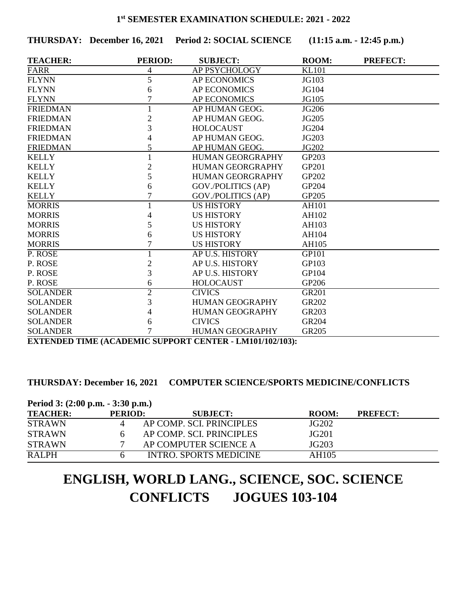**THURSDAY: December 16, 2021 Period 2: SOCIAL SCIENCE (11:15 a.m. - 12:45 p.m.)**

| <b>TEACHER:</b> | <b>PERIOD:</b> | <b>SUBJECT:</b>         | <b>ROOM:</b> | <b>PREFECT:</b> |
|-----------------|----------------|-------------------------|--------------|-----------------|
| <b>FARR</b>     | 4              | AP PSYCHOLOGY           | <b>KL101</b> |                 |
| <b>FLYNN</b>    | 5              | <b>AP ECONOMICS</b>     | JG103        |                 |
| <b>FLYNN</b>    | 6              | <b>AP ECONOMICS</b>     | JG104        |                 |
| <b>FLYNN</b>    |                | <b>AP ECONOMICS</b>     | JG105        |                 |
| <b>FRIEDMAN</b> |                | AP HUMAN GEOG.          | JG206        |                 |
| <b>FRIEDMAN</b> | $\overline{2}$ | AP HUMAN GEOG.          | JG205        |                 |
| <b>FRIEDMAN</b> | 3              | <b>HOLOCAUST</b>        | JG204        |                 |
| <b>FRIEDMAN</b> | 4              | AP HUMAN GEOG.          | JG203        |                 |
| <b>FRIEDMAN</b> | 5              | AP HUMAN GEOG.          | JG202        |                 |
| <b>KELLY</b>    |                | <b>HUMAN GEORGRAPHY</b> | GP203        |                 |
| <b>KELLY</b>    | $\overline{c}$ | <b>HUMAN GEORGRAPHY</b> | GP201        |                 |
| <b>KELLY</b>    | 5              | <b>HUMAN GEORGRAPHY</b> | GP202        |                 |
| <b>KELLY</b>    | 6              | GOV./POLITICS (AP)      | GP204        |                 |
| <b>KELLY</b>    |                | GOV./POLITICS (AP)      | GP205        |                 |
| <b>MORRIS</b>   |                | <b>US HISTORY</b>       | <b>AH101</b> |                 |
| <b>MORRIS</b>   | 4              | <b>US HISTORY</b>       | AH102        |                 |
| <b>MORRIS</b>   | 5              | <b>US HISTORY</b>       | AH103        |                 |
| <b>MORRIS</b>   | 6              | <b>US HISTORY</b>       | AH104        |                 |
| <b>MORRIS</b>   |                | <b>US HISTORY</b>       | AH105        |                 |
| P. ROSE         | 1              | AP U.S. HISTORY         | <b>GP101</b> |                 |
| P. ROSE         | $\mathfrak{2}$ | AP U.S. HISTORY         | GP103        |                 |
| P. ROSE         | 3              | AP U.S. HISTORY         | GP104        |                 |
| P. ROSE         | 6              | <b>HOLOCAUST</b>        | GP206        |                 |
| <b>SOLANDER</b> | $\overline{2}$ | <b>CIVICS</b>           | <b>GR201</b> |                 |
| <b>SOLANDER</b> | 3              | <b>HUMAN GEOGRAPHY</b>  | GR202        |                 |
| <b>SOLANDER</b> | 4              | <b>HUMAN GEOGRAPHY</b>  | GR203        |                 |
| <b>SOLANDER</b> | 6              | <b>CIVICS</b>           | GR204        |                 |
| <b>SOLANDER</b> | 7              | <b>HUMAN GEOGRAPHY</b>  | GR205        |                 |

**EXTENDED TIME (ACADEMIC SUPPORT CENTER - LM101/102/103):** 

## **THURSDAY: December 16, 2021 COMPUTER SCIENCE/SPORTS MEDICINE/CONFLICTS**

| Period 3: (2:00 p.m. - 3:30 p.m.) |                |                          |       |                 |  |
|-----------------------------------|----------------|--------------------------|-------|-----------------|--|
| <b>TEACHER:</b>                   | <b>PERIOD:</b> | <b>SUBJECT:</b>          | ROOM: | <b>PREFECT:</b> |  |
| <b>STRAWN</b>                     |                | AP COMP. SCI. PRINCIPLES | JG202 |                 |  |
| <b>STRAWN</b>                     |                | AP COMP. SCI. PRINCIPLES | JG201 |                 |  |
| <b>STRAWN</b>                     |                | AP COMPUTER SCIENCE A    | JG203 |                 |  |
| <b>RALPH</b>                      |                | INTRO. SPORTS MEDICINE   | AH105 |                 |  |

# **ENGLISH, WORLD LANG., SCIENCE, SOC. SCIENCE CONFLICTS JOGUES 103-104**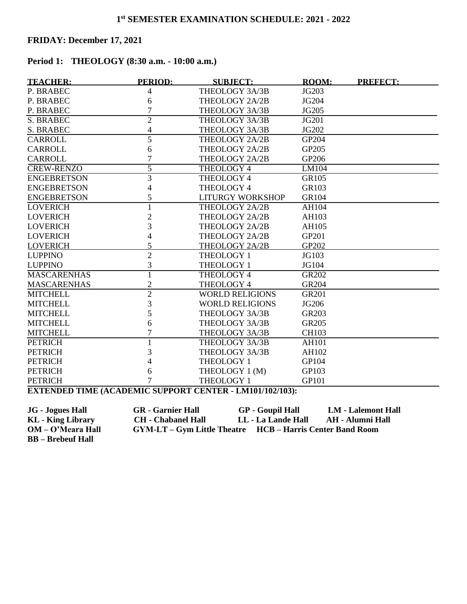## **FRIDAY: December 17, 2021**

# **Period 1: THEOLOGY (8:30 a.m. - 10:00 a.m.)**

| <b>TEACHER:</b>    | <b>PERIOD:</b> | <b>SUBJECT:</b>         | <b>ROOM:</b> | <b>PREFECT:</b> |
|--------------------|----------------|-------------------------|--------------|-----------------|
| P. BRABEC          | 4              | THEOLOGY 3A/3B          | JG203        |                 |
| P. BRABEC          | 6              | THEOLOGY 2A/2B          | JG204        |                 |
| P. BRABEC          | 7              | THEOLOGY 3A/3B          | JG205        |                 |
| <b>S. BRABEC</b>   | $\overline{2}$ | THEOLOGY 3A/3B          | JG201        |                 |
| <b>S. BRABEC</b>   | 4              | THEOLOGY 3A/3B          | JG202        |                 |
| <b>CARROLL</b>     | 5              | THEOLOGY 2A/2B          | GP204        |                 |
| <b>CARROLL</b>     | 6              | THEOLOGY 2A/2B          | GP205        |                 |
| <b>CARROLL</b>     | 7              | THEOLOGY 2A/2B          | GP206        |                 |
| <b>CREW-RENZO</b>  | $\overline{5}$ | <b>THEOLOGY 4</b>       | LM104        |                 |
| <b>ENGEBRETSON</b> | $\overline{3}$ | THEOLOGY 4              | GR105        |                 |
| <b>ENGEBRETSON</b> | 4              | THEOLOGY 4              | GR103        |                 |
| <b>ENGEBRETSON</b> | 5              | <b>LITURGY WORKSHOP</b> | GR104        |                 |
| <b>LOVERICH</b>    |                | THEOLOGY 2A/2B          | AH104        |                 |
| <b>LOVERICH</b>    | 2              | THEOLOGY 2A/2B          | AH103        |                 |
| <b>LOVERICH</b>    | 3              | THEOLOGY 2A/2B          | AH105        |                 |
| <b>LOVERICH</b>    | 4              | THEOLOGY 2A/2B          | GP201        |                 |
| <b>LOVERICH</b>    | 5              | THEOLOGY 2A/2B          | GP202        |                 |
| <b>LUPPINO</b>     | $\overline{2}$ | THEOLOGY 1              | JG103        |                 |
| <b>LUPPINO</b>     | 3              | THEOLOGY 1              | JG104        |                 |
| <b>MASCARENHAS</b> |                | <b>THEOLOGY 4</b>       | <b>GR202</b> |                 |
| <b>MASCARENHAS</b> | $\overline{2}$ | THEOLOGY 4              | GR204        |                 |
| <b>MITCHELL</b>    | $\overline{2}$ | <b>WORLD RELIGIONS</b>  | <b>GR201</b> |                 |
| <b>MITCHELL</b>    | 3              | <b>WORLD RELIGIONS</b>  | JG206        |                 |
| <b>MITCHELL</b>    | 5              | THEOLOGY 3A/3B          | GR203        |                 |
| <b>MITCHELL</b>    | 6              | THEOLOGY 3A/3B          | GR205        |                 |
| <b>MITCHELL</b>    | 7              | THEOLOGY 3A/3B          | <b>CH103</b> |                 |
| <b>PETRICH</b>     |                | THEOLOGY 3A/3B          | <b>AH101</b> |                 |
| <b>PETRICH</b>     | 3              | THEOLOGY 3A/3B          | AH102        |                 |
| <b>PETRICH</b>     | 4              | THEOLOGY 1              | GP104        |                 |
| <b>PETRICH</b>     | 6              | THEOLOGY 1 (M)          | GP103        |                 |
| <b>PETRICH</b>     | 7              | THEOLOGY 1              | GP101        |                 |

**EXTENDED TIME (ACADEMIC SUPPORT CENTER - LM101/102/103):** 

**JG - Jogues Hall GR - Garnier Hall GP - Goupil Hall LM - Lalemont Hall KL - King Library CH - Chabanel Hall LL - La Lande Hall AH - Alumni Hall OM – O'Meara Hall GYM-LT – Gym Little Theatre HCB – Harris Center Band Room BB – Brebeuf Hall**